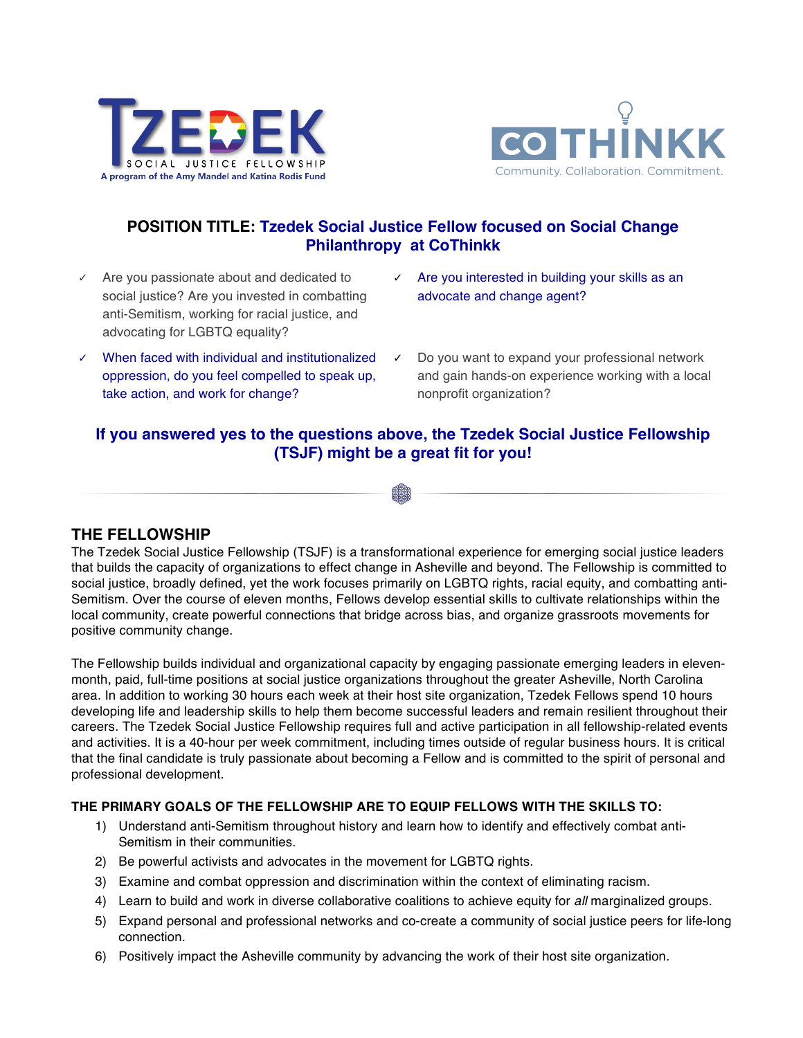



# **POSITION TITLE: Tzedek Social Justice Fellow focused on Social Change Philanthropy at CoThinkk**

- ✓ Are you passionate about and dedicated to social justice? Are you invested in combatting anti-Semitism, working for racial justice, and advocating for LGBTQ equality?
- ✓ When faced with individual and institutionalized oppression, do you feel compelled to speak up, take action, and work for change?
- ✓ Are you interested in building your skills as an advocate and change agent?
- Do you want to expand your professional network and gain hands-on experience working with a local nonprofit organization?

# **If you answered yes to the questions above, the Tzedek Social Justice Fellowship (TSJF) might be a great fit for you!**

## **THE FELLOWSHIP**

The Tzedek Social Justice Fellowship (TSJF) is a transformational experience for emerging social justice leaders that builds the capacity of organizations to effect change in Asheville and beyond. The Fellowship is committed to social justice, broadly defined, yet the work focuses primarily on LGBTQ rights, racial equity, and combatting anti-Semitism. Over the course of eleven months, Fellows develop essential skills to cultivate relationships within the local community, create powerful connections that bridge across bias, and organize grassroots movements for positive community change.

The Fellowship builds individual and organizational capacity by engaging passionate emerging leaders in elevenmonth, paid, full-time positions at social justice organizations throughout the greater Asheville, North Carolina area. In addition to working 30 hours each week at their host site organization, Tzedek Fellows spend 10 hours developing life and leadership skills to help them become successful leaders and remain resilient throughout their careers. The Tzedek Social Justice Fellowship requires full and active participation in all fellowship-related events and activities. It is a 40-hour per week commitment, including times outside of regular business hours. It is critical that the final candidate is truly passionate about becoming a Fellow and is committed to the spirit of personal and professional development.

## **THE PRIMARY GOALS OF THE FELLOWSHIP ARE TO EQUIP FELLOWS WITH THE SKILLS TO:**

- 1) Understand anti-Semitism throughout history and learn how to identify and effectively combat anti-Semitism in their communities.
- 2) Be powerful activists and advocates in the movement for LGBTQ rights.
- 3) Examine and combat oppression and discrimination within the context of eliminating racism.
- 4) Learn to build and work in diverse collaborative coalitions to achieve equity for *all* marginalized groups.
- 5) Expand personal and professional networks and co-create a community of social justice peers for life-long connection.
- 6) Positively impact the Asheville community by advancing the work of their host site organization.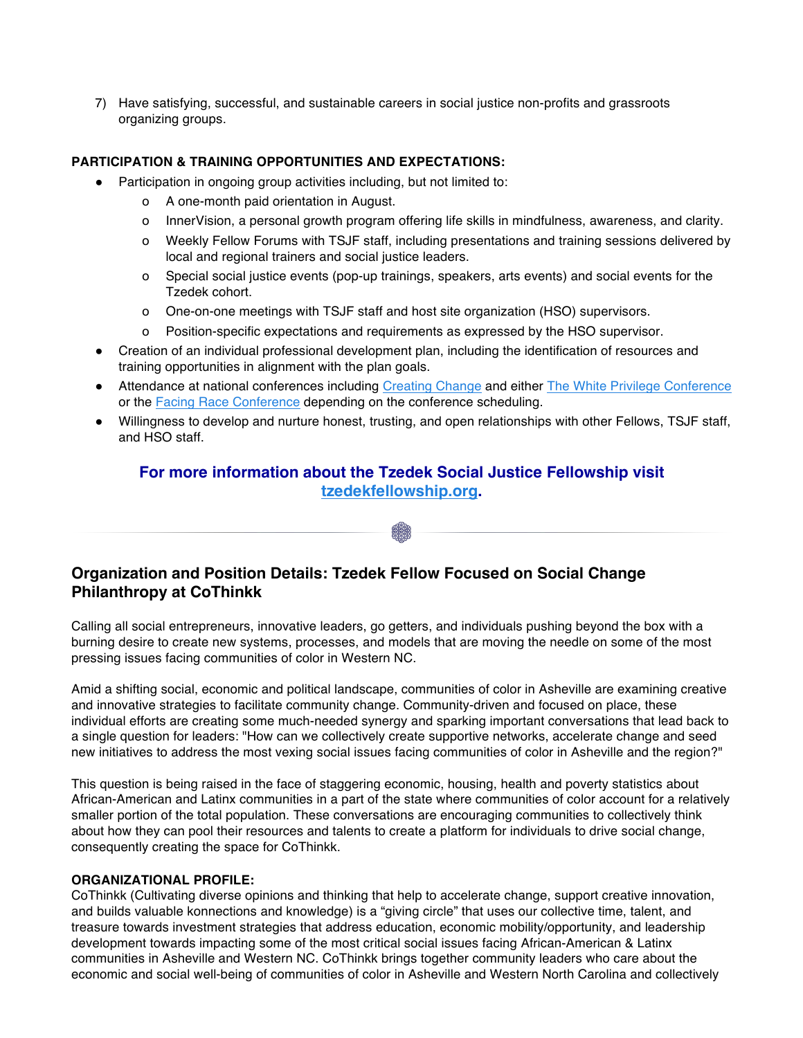7) Have satisfying, successful, and sustainable careers in social justice non-profits and grassroots organizing groups.

## **PARTICIPATION & TRAINING OPPORTUNITIES AND EXPECTATIONS:**

- Participation in ongoing group activities including, but not limited to:
	- o A one-month paid orientation in August.
	- o InnerVision, a personal growth program offering life skills in mindfulness, awareness, and clarity.
	- o Weekly Fellow Forums with TSJF staff, including presentations and training sessions delivered by local and regional trainers and social justice leaders.
	- o Special social justice events (pop-up trainings, speakers, arts events) and social events for the Tzedek cohort.
	- o One-on-one meetings with TSJF staff and host site organization (HSO) supervisors.
	- o Position-specific expectations and requirements as expressed by the HSO supervisor.
- Creation of an individual professional development plan, including the identification of resources and training opportunities in alignment with the plan goals.
- Attendance at national conferences including Creating Change and either The White Privilege Conference or the Facing Race Conference depending on the conference scheduling.
- Willingness to develop and nurture honest, trusting, and open relationships with other Fellows, TSJF staff, and HSO staff.

## **For more information about the Tzedek Social Justice Fellowship visit tzedekfellowship.org.**

## **Organization and Position Details: Tzedek Fellow Focused on Social Change Philanthropy at CoThinkk**

Calling all social entrepreneurs, innovative leaders, go getters, and individuals pushing beyond the box with a burning desire to create new systems, processes, and models that are moving the needle on some of the most pressing issues facing communities of color in Western NC.

Amid a shifting social, economic and political landscape, communities of color in Asheville are examining creative and innovative strategies to facilitate community change. Community-driven and focused on place, these individual efforts are creating some much-needed synergy and sparking important conversations that lead back to a single question for leaders: "How can we collectively create supportive networks, accelerate change and seed new initiatives to address the most vexing social issues facing communities of color in Asheville and the region?"

This question is being raised in the face of staggering economic, housing, health and poverty statistics about African-American and Latinx communities in a part of the state where communities of color account for a relatively smaller portion of the total population. These conversations are encouraging communities to collectively think about how they can pool their resources and talents to create a platform for individuals to drive social change, consequently creating the space for CoThinkk.

## **ORGANIZATIONAL PROFILE:**

CoThinkk (Cultivating diverse opinions and thinking that help to accelerate change, support creative innovation, and builds valuable konnections and knowledge) is a "giving circle" that uses our collective time, talent, and treasure towards investment strategies that address education, economic mobility/opportunity, and leadership development towards impacting some of the most critical social issues facing African-American & Latinx communities in Asheville and Western NC. CoThinkk brings together community leaders who care about the economic and social well-being of communities of color in Asheville and Western North Carolina and collectively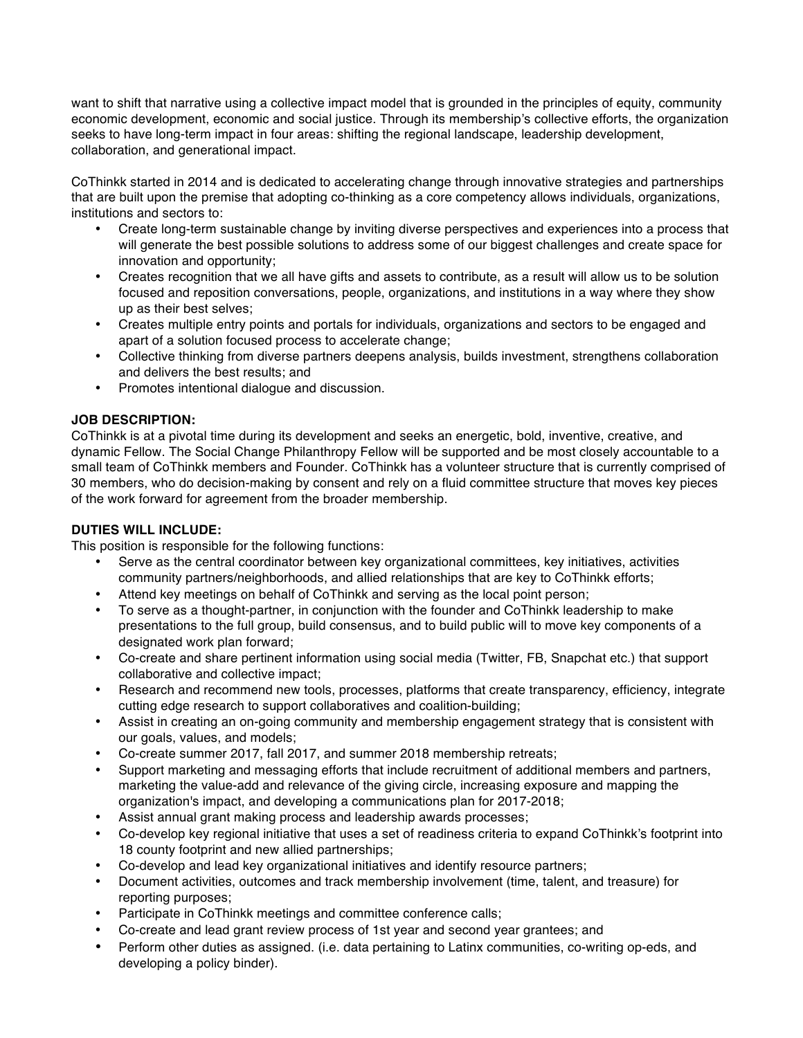want to shift that narrative using a collective impact model that is grounded in the principles of equity, community economic development, economic and social justice. Through its membership's collective efforts, the organization seeks to have long-term impact in four areas: shifting the regional landscape, leadership development, collaboration, and generational impact.

CoThinkk started in 2014 and is dedicated to accelerating change through innovative strategies and partnerships that are built upon the premise that adopting co-thinking as a core competency allows individuals, organizations, institutions and sectors to:

- Create long-term sustainable change by inviting diverse perspectives and experiences into a process that will generate the best possible solutions to address some of our biggest challenges and create space for innovation and opportunity;
- Creates recognition that we all have gifts and assets to contribute, as a result will allow us to be solution focused and reposition conversations, people, organizations, and institutions in a way where they show up as their best selves;
- Creates multiple entry points and portals for individuals, organizations and sectors to be engaged and apart of a solution focused process to accelerate change;
- Collective thinking from diverse partners deepens analysis, builds investment, strengthens collaboration and delivers the best results; and
- Promotes intentional dialogue and discussion.

## **JOB DESCRIPTION:**

CoThinkk is at a pivotal time during its development and seeks an energetic, bold, inventive, creative, and dynamic Fellow. The Social Change Philanthropy Fellow will be supported and be most closely accountable to a small team of CoThinkk members and Founder. CoThinkk has a volunteer structure that is currently comprised of 30 members, who do decision-making by consent and rely on a fluid committee structure that moves key pieces of the work forward for agreement from the broader membership.

### **DUTIES WILL INCLUDE:**

This position is responsible for the following functions:

- Serve as the central coordinator between key organizational committees, key initiatives, activities community partners/neighborhoods, and allied relationships that are key to CoThinkk efforts;
- Attend key meetings on behalf of CoThinkk and serving as the local point person;
- To serve as a thought-partner, in conjunction with the founder and CoThinkk leadership to make presentations to the full group, build consensus, and to build public will to move key components of a designated work plan forward;
- Co-create and share pertinent information using social media (Twitter, FB, Snapchat etc.) that support collaborative and collective impact;
- Research and recommend new tools, processes, platforms that create transparency, efficiency, integrate cutting edge research to support collaboratives and coalition-building;
- Assist in creating an on-going community and membership engagement strategy that is consistent with our goals, values, and models;
- Co-create summer 2017, fall 2017, and summer 2018 membership retreats;
- Support marketing and messaging efforts that include recruitment of additional members and partners, marketing the value-add and relevance of the giving circle, increasing exposure and mapping the organization's impact, and developing a communications plan for 2017-2018;
- Assist annual grant making process and leadership awards processes;
- Co-develop key regional initiative that uses a set of readiness criteria to expand CoThinkk's footprint into 18 county footprint and new allied partnerships;
- Co-develop and lead key organizational initiatives and identify resource partners;
- Document activities, outcomes and track membership involvement (time, talent, and treasure) for reporting purposes;
- Participate in CoThinkk meetings and committee conference calls;
- Co-create and lead grant review process of 1st year and second year grantees; and
- Perform other duties as assigned. (i.e. data pertaining to Latinx communities, co-writing op-eds, and developing a policy binder).